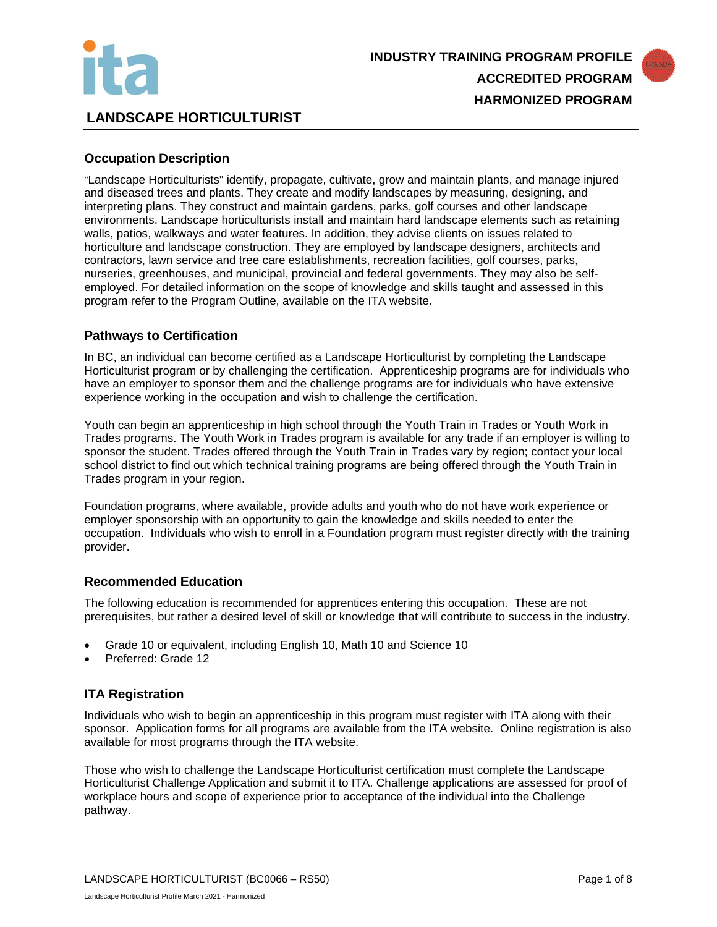



# **LANDSCAPE HORTICULTURIST**

# **Occupation Description**

"Landscape Horticulturists" identify, propagate, cultivate, grow and maintain plants, and manage injured and diseased trees and plants. They create and modify landscapes by measuring, designing, and interpreting plans. They construct and maintain gardens, parks, golf courses and other landscape environments. Landscape horticulturists install and maintain hard landscape elements such as retaining walls, patios, walkways and water features. In addition, they advise clients on issues related to horticulture and landscape construction. They are employed by landscape designers, architects and contractors, lawn service and tree care establishments, recreation facilities, golf courses, parks, nurseries, greenhouses, and municipal, provincial and federal governments. They may also be selfemployed. For detailed information on the scope of knowledge and skills taught and assessed in this program refer to the Program Outline, available on the ITA website.

# **Pathways to Certification**

In BC, an individual can become certified as a Landscape Horticulturist by completing the Landscape Horticulturist program or by challenging the certification. Apprenticeship programs are for individuals who have an employer to sponsor them and the challenge programs are for individuals who have extensive experience working in the occupation and wish to challenge the certification.

Youth can begin an apprenticeship in high school through the Youth Train in Trades or Youth Work in Trades programs. The Youth Work in Trades program is available for any trade if an employer is willing to sponsor the student. Trades offered through the Youth Train in Trades vary by region; contact your local school district to find out which technical training programs are being offered through the Youth Train in Trades program in your region.

Foundation programs, where available, provide adults and youth who do not have work experience or employer sponsorship with an opportunity to gain the knowledge and skills needed to enter the occupation. Individuals who wish to enroll in a Foundation program must register directly with the training provider.

### **Recommended Education**

The following education is recommended for apprentices entering this occupation. These are not prerequisites, but rather a desired level of skill or knowledge that will contribute to success in the industry.

- Grade 10 or equivalent, including English 10, Math 10 and Science 10
- Preferred: Grade 12

### **ITA Registration**

Individuals who wish to begin an apprenticeship in this program must register with ITA along with their sponsor. Application forms for all programs are available from the ITA website. Online registration is also available for most programs through the ITA website.

Those who wish to challenge the Landscape Horticulturist certification must complete the Landscape Horticulturist Challenge Application and submit it to ITA. Challenge applications are assessed for proof of workplace hours and scope of experience prior to acceptance of the individual into the Challenge pathway.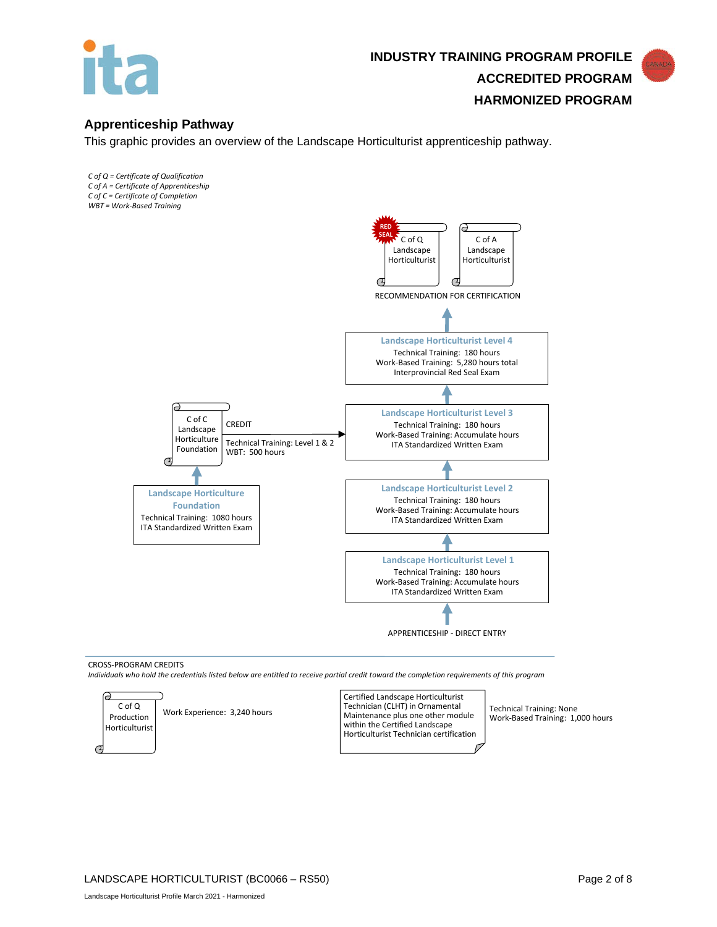

# **INDUSTRY TRAINING PROGRAM PROFILE ACCREDITED PROGRAM HARMONIZED PROGRAM**

# **Apprenticeship Pathway**

This graphic provides an overview of the Landscape Horticulturist apprenticeship pathway.

- *C of Q = Certificate of Qualification C of A = Certificate of Apprenticeship C of C = Certificate of Completion*
- *WBT = Work-Based Training*



#### CROSS-PROGRAM CREDITS

*Individuals who hold the credentials listed below are entitled to receive partial credit toward the completion requirements of this program*

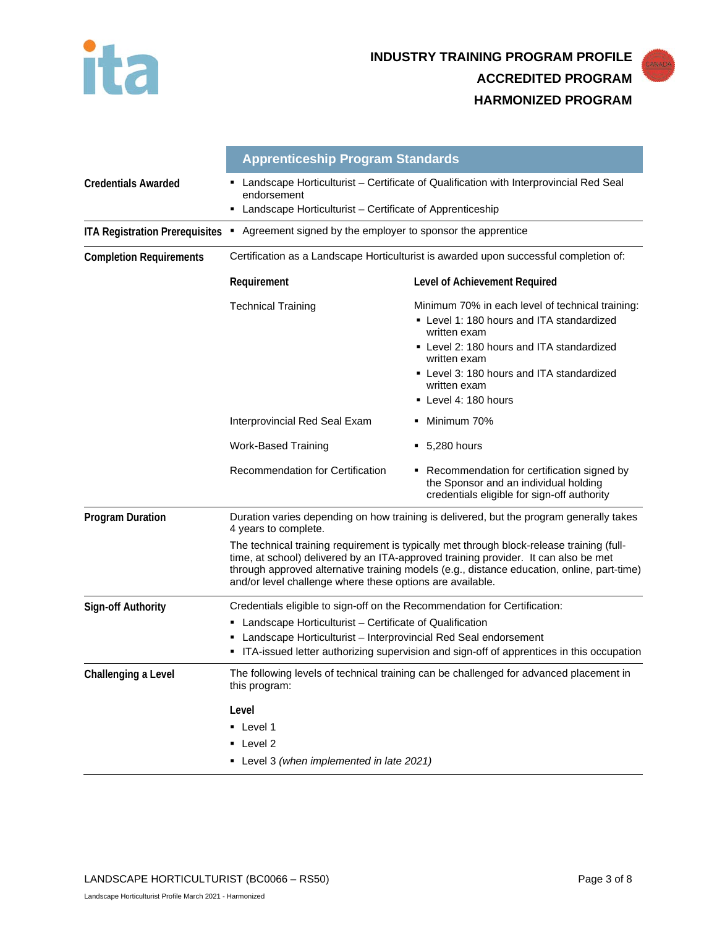



**Level 1** 

- Level 2
- Level 3 *(when implemented in late 2021)*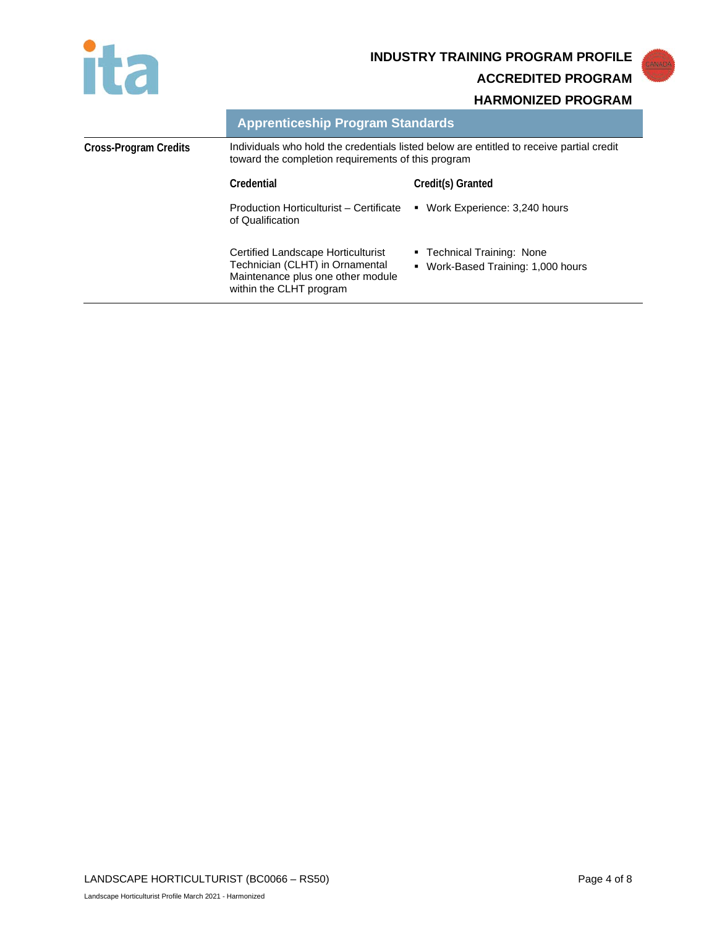

# **INDUSTRY TRAINING PROGRAM PROFILE**

**ACCREDITED PROGRAM**

# **HARMONIZED PROGRAM**

|                       |                                                                                                                                                | ,,,,,,,,,,,,,,,,,,,,,,,,,,,,,,                                   |
|-----------------------|------------------------------------------------------------------------------------------------------------------------------------------------|------------------------------------------------------------------|
|                       | <b>Apprenticeship Program Standards</b>                                                                                                        |                                                                  |
| Cross-Program Credits | Individuals who hold the credentials listed below are entitled to receive partial credit<br>toward the completion requirements of this program |                                                                  |
|                       | Credential                                                                                                                                     | Credit(s) Granted                                                |
|                       | Production Horticulturist - Certificate<br>of Qualification                                                                                    | • Work Experience: 3,240 hours                                   |
|                       | Certified Landscape Horticulturist<br>Technician (CLHT) in Ornamental<br>Maintenance plus one other module<br>within the CLHT program          | ■ Technical Training: None<br>• Work-Based Training: 1,000 hours |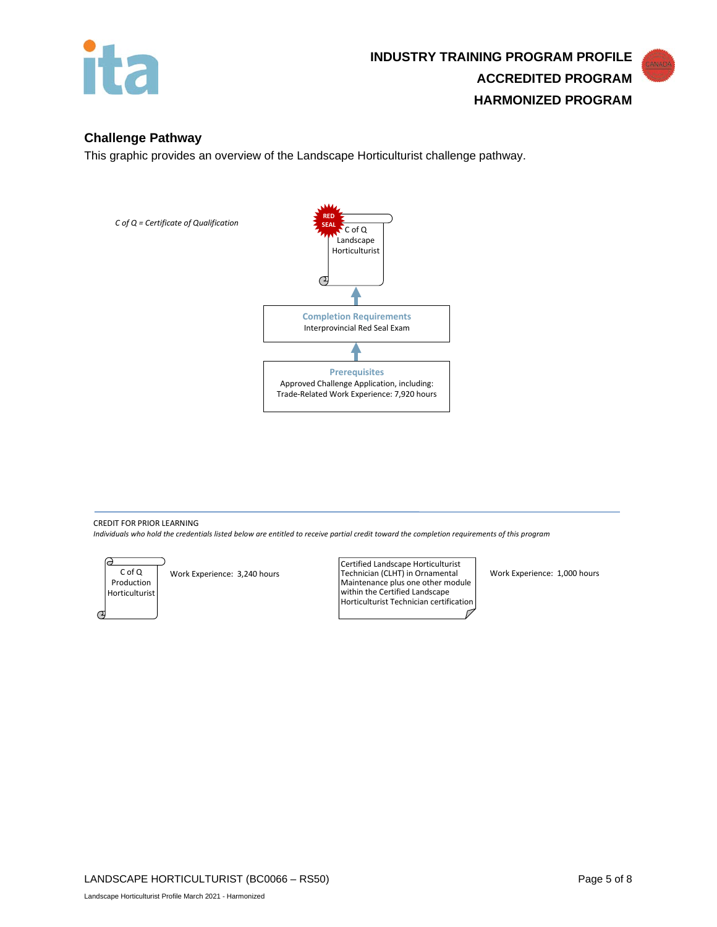

# **Challenge Pathway**

This graphic provides an overview of the Landscape Horticulturist challenge pathway.



# CREDIT FOR PRIOR LEARNING

*Individuals who hold the credentials listed below are entitled to receive partial credit toward the completion requirements of this program*

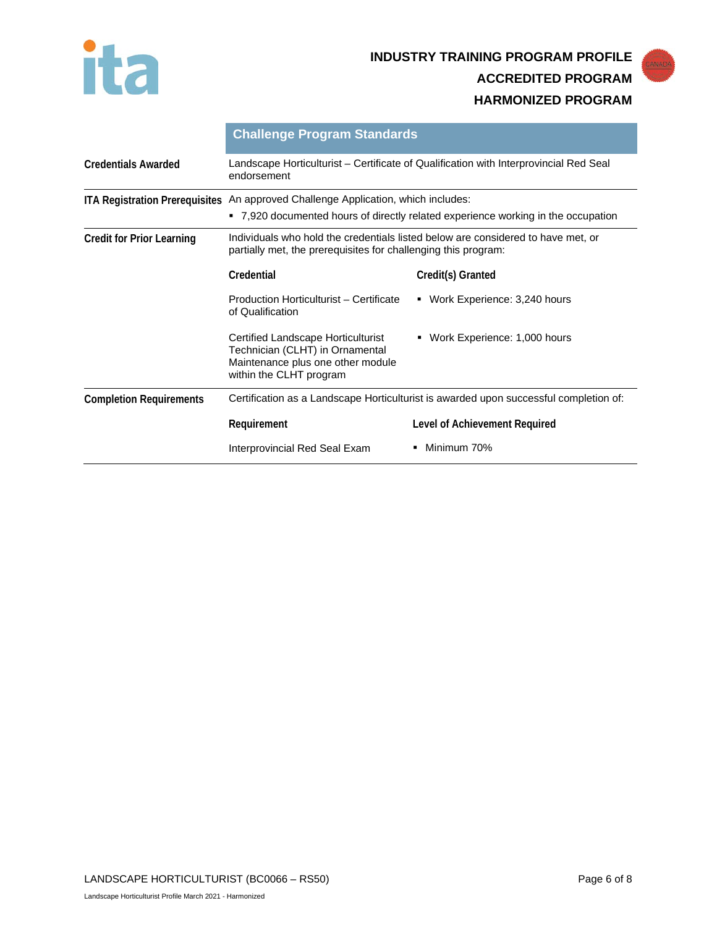

# **INDUSTRY TRAINING PROGRAM PROFILE ACCREDITED PROGRAM HARMONIZED PROGRAM**

|                                  | <b>Challenge Program Standards</b>                                                                                                                                     |                                   |  |
|----------------------------------|------------------------------------------------------------------------------------------------------------------------------------------------------------------------|-----------------------------------|--|
| <b>Credentials Awarded</b>       | Landscape Horticulturist – Certificate of Qualification with Interprovincial Red Seal<br>endorsement                                                                   |                                   |  |
|                                  | ITA Registration Prerequisites An approved Challenge Application, which includes:<br>• 7,920 documented hours of directly related experience working in the occupation |                                   |  |
| <b>Credit for Prior Learning</b> | Individuals who hold the credentials listed below are considered to have met, or<br>partially met, the prerequisites for challenging this program:                     |                                   |  |
|                                  | Credential                                                                                                                                                             | Credit(s) Granted                 |  |
|                                  | Production Horticulturist - Certificate<br>of Qualification                                                                                                            | • Work Experience: 3,240 hours    |  |
|                                  | Certified Landscape Horticulturist<br>Technician (CLHT) in Ornamental<br>Maintenance plus one other module<br>within the CLHT program                                  | Work Experience: 1,000 hours<br>٠ |  |
| <b>Completion Requirements</b>   | Certification as a Landscape Horticulturist is awarded upon successful completion of:                                                                                  |                                   |  |
|                                  | Requirement                                                                                                                                                            | Level of Achievement Required     |  |
|                                  | Interprovincial Red Seal Exam                                                                                                                                          | Minimum 70%                       |  |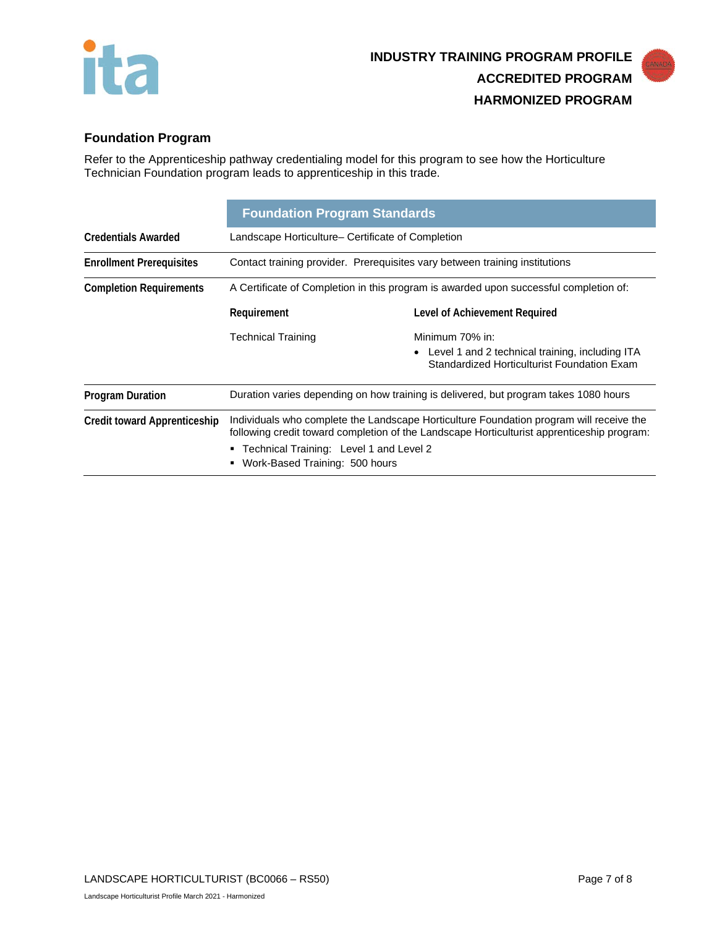

# **Foundation Program**

Refer to the Apprenticeship pathway credentialing model for this program to see how the Horticulture Technician Foundation program leads to apprenticeship in this trade.

|                                     | <b>Foundation Program Standards</b>                                                                                                                                                                                                                                  |                                                                                                  |  |
|-------------------------------------|----------------------------------------------------------------------------------------------------------------------------------------------------------------------------------------------------------------------------------------------------------------------|--------------------------------------------------------------------------------------------------|--|
| <b>Credentials Awarded</b>          | Landscape Horticulture– Certificate of Completion                                                                                                                                                                                                                    |                                                                                                  |  |
| <b>Enrollment Prerequisites</b>     | Contact training provider. Prerequisites vary between training institutions                                                                                                                                                                                          |                                                                                                  |  |
| <b>Completion Requirements</b>      | A Certificate of Completion in this program is awarded upon successful completion of:                                                                                                                                                                                |                                                                                                  |  |
|                                     | Requirement                                                                                                                                                                                                                                                          | Level of Achievement Required                                                                    |  |
|                                     | <b>Technical Training</b>                                                                                                                                                                                                                                            | Minimum 70% in:                                                                                  |  |
|                                     |                                                                                                                                                                                                                                                                      | • Level 1 and 2 technical training, including ITA<br>Standardized Horticulturist Foundation Exam |  |
| <b>Program Duration</b>             | Duration varies depending on how training is delivered, but program takes 1080 hours                                                                                                                                                                                 |                                                                                                  |  |
| <b>Credit toward Apprenticeship</b> | Individuals who complete the Landscape Horticulture Foundation program will receive the<br>following credit toward completion of the Landscape Horticulturist apprenticeship program:<br>• Technical Training: Level 1 and Level 2<br>Work-Based Training: 500 hours |                                                                                                  |  |